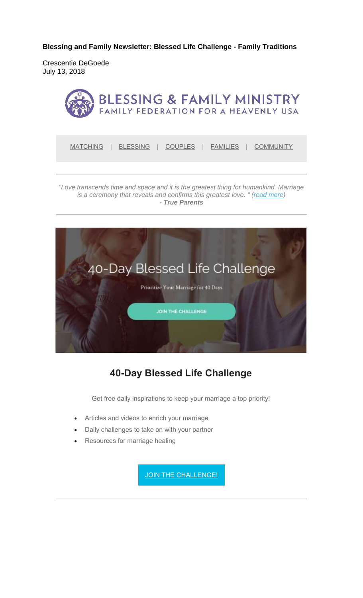**Blessing and Family Newsletter: Blessed Life Challenge - Family Traditions** 

Crescentia DeGoede July 13, 2018



MATCHING | BLESSING | COUPLES | FAMILIES | COMMUNITY

*"Love transcends time and space and it is the greatest thing for humankind. Marriage is a ceremony that reveals and confirms this greatest love. " (read more) - True Parents*



#### **40-Day Blessed Life Challenge**

Get free daily inspirations to keep your marriage a top priority!

- Articles and videos to enrich your marriage
- Daily challenges to take on with your partner
- Resources for marriage healing

JOIN THE CHALLENGE!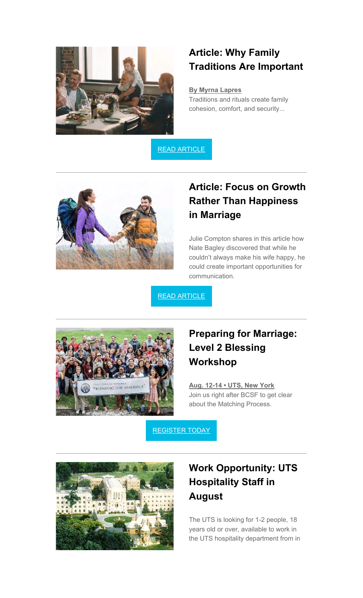

#### **Article: Why Family Traditions Are Important**

**By Myrna Lapres** Traditions and rituals create family cohesion, comfort, and security...

READ ARTICLE



## **Article: Focus on Growth Rather Than Happiness in Marriage**

Julie Compton shares in this article how Nate Bagley discovered that while he couldn't always make his wife happy, he could create important opportunities for communication.

READ ARTICLE



## **Preparing for Marriage: Level 2 Blessing Workshop**

**Aug. 12-14 • UTS, New York** Join us right after BCSF to get clear about the Matching Process.

REGISTER TODAY



# **Work Opportunity: UTS Hospitality Staff in August**

The UTS is looking for 1-2 people, 18 years old or over, available to work in the UTS hospitality department from in